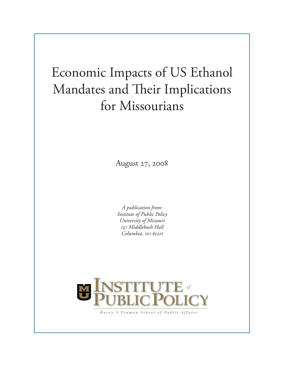# Economic Impacts of US Ethanol Mandates and Their Implications for Missourians

August 27, 2008

*A publication from: Institute of Public Policy University of Missouri 137 Middlebush Hall Columbia, MO 65211*



Harry S Truman School of Public Affairs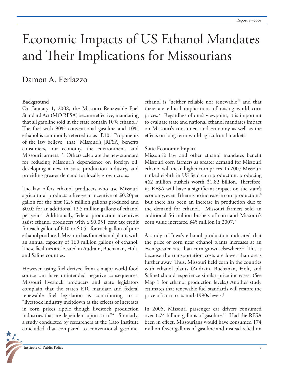# Economic Impacts of US Ethanol Mandates and Their Implications for Missourians

# Damon A. Ferlazzo

#### **Background**

On January 1, 2008, the Missouri Renewable Fuel Standard Act (MO RFSA) became effective; mandating that all gasoline sold in the state contain 10% ethanol.<sup>1</sup> The fuel with 90% conventional gasoline and 10% ethanol is commonly referred to as "E10." Proponents of the law believe that "Missouri's [RFSA] benefits consumers, our economy, the environment, and Missouri farmers."2 Others celebrate the new standard for reducing Missouri's dependence on foreign oil, developing a new in state production industry, and providing greater demand for locally grown crops.

The law offers ethanol producers who use Missouri agricultural products a five-year incentive of \$0.20per gallon for the first 12.5 million gallons produced and \$0.05 for an additional 12.5 million gallons of ethanol per year.3 Additionally, federal production incentives assist ethanol producers with a \$0.051 cent tax credit for each gallon of E10 or \$0.51 for each gallon of pure ethanol produced. Missouri has four ethanol plants with an annual capacity of 160 million gallons of ethanol. These facilities are located in Audrain, Buchanan, Holt, and Saline counties.

However, using fuel derived from a major world food source can have unintended negative consequences. Missouri livestock producers and state legislators complain that the state's E10 mandate and federal renewable fuel legislation is contributing to a "livestock industry meltdown as the effects of increases in corn prices ripple though livestock production industries that are dependent upon corn."4 Similarly, a study conducted by researchers at the Cato Institute concluded that compared to conventional gasoline,



ethanol is "neither reliable nor renewable," and that there are ethical implications of raising world corn prices.5 Regardless of one's viewpoint, it is important to evaluate state and national ethanol mandates impact on Missouri's consumers and economy as well as the effects on long term world agricultural markets.

#### **State Economic Impact**

Missouri's law and other ethanol mandates benefit Missouri corn farmers as greater demand for Missouri ethanol will mean higher corn prices. In 2007 Missouri ranked eighth in US field corn production, producing 462 million bushels worth \$1.82 billion. Therefore, its RFSA will have a significant impact on the state's economy, even if there is no increase in corn production.<sup>6</sup> But there has been an increase in production due to the demand for ethanol. Missouri farmers sold an additional 56 million bushels of corn and Missouri's corn value increased \$45 million in 2007.<sup>7</sup>

A study of Iowa's ethanol production indicated that the price of corn near ethanol plants increases at an even greater rate than corn grown elsewhere.<sup>8</sup> This is because the transportation costs are lower than areas further away. Thus, Missouri field corn in the counties with ethanol plants (Audrain, Buchanan, Holt, and Saline) should experience similar price increases. (See Map 1 for ethanol production levels.) Another study estimates that renewable fuel standards will restore the price of corn to its mid-1990s levels.<sup>9</sup>

In 2005, Missouri passenger car drivers consumed over 1.74 billion gallons of gasoline.<sup>10</sup> Had the RFSA been in effect, Missourians would have consumed 174 million fewer gallons of gasoline and instead relied on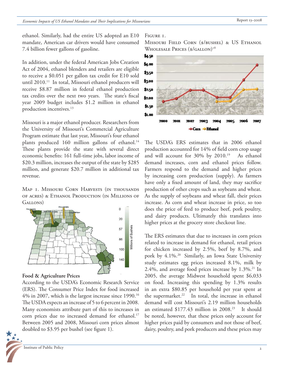ethanol. Similarly, had the entire US adopted an E10 mandate, American car drivers would have consumed 7.4 billion fewer gallons of gasoline.

In addition, under the federal American Jobs Creation Act of 2004, ethanol blenders and retailers are eligible to receive a \$0.051 per gallon tax credit for E10 sold until 2010.<sup>11</sup> In total, Missouri ethanol producers will receive \$8.87 million in federal ethanol production tax credits over the next two years. The state's fiscal year 2009 budget includes \$1.2 million in ethanol production incentives.<sup>13</sup>

Missouri is a major ethanol producer. Researchers from the University of Missouri's Commercial Agriculture Program estimate that last year, Missouri's four ethanol plants produced 160 million gallons of ethanol.<sup>14</sup> These plants provide the state with several direct economic benefits: 161 full-time jobs, labor income of \$20.3 million, increases the output of the state by \$285 million, and generate \$20.7 million in additional tax revenue.

MAP I. MISSOURI CORN HARVESTS (IN THOUSANDS of acres) & Ethanol Production (in Millions of Gallons)



### **Food & Agriculture Prices**

According to the USDA's Economic Research Service (ERS). The Consumer Price Index for food increased 4% in 2007, which is the largest increase since 1990.16 The USDA expects an increase of 5 to 6 percent in 2008. Many economists attribute part of this to increases in corn prices due to increased demand for ethanol.<sup>17</sup> Between 2005 and 2008, Missouri corn prices almost doubled to  $$3.95$  per bushel (see figure 1).



#### FIGURE 1.

MISSOURI FIELD CORN (\$/BUSHEL) & US ETHANOL WHOLESALE PRICES (\$/GALLON)<sup>18</sup>



The USDA's ERS estimates that in 2006 ethanol production accounted for 14% of field corn crop usage and will account for 30% by 2010.<sup>19</sup> As ethanol demand increases, corn and ethanol prices follow. Farmers respond to the demand and higher prices by increasing corn production (supply). As farmers have only a fixed amount of land, they may sacrifice production of other crops such as soybeans and wheat. As the supply of soybeans and wheat fall, their prices increase. As corn and wheat increase in price, so too does the price of feed to produce beef, pork poultry, and dairy products. Ultimately this translates into higher prices at the grocery store checkout line.

The ERS estimates that due to increases in corn prices related to increase in demand for ethanol, retail prices for chicken increased by 2.5%, beef by 8.7%, and pork by 4.1%.20 Similarly, an Iowa State University study estimates egg prices increased 8.1%, milk by 2.4%, and average food prices increase by  $1.3\%$ <sup>21</sup> In 2005, the average Midwest household spent \$6,033 on food. Increasing this spending by 1.3% results in an extra \$80.85 per household per year spent at the supermarket.<sup>22</sup> In total, the increase in ethanol demand will cost Missouri's 2.19 million households an estimated  $$177.43$  million in 2008.<sup>23</sup> It should be noted, however, that these prices only account for higher prices paid by consumers and not those of beef, dairy, poultry, and pork producers and these prices may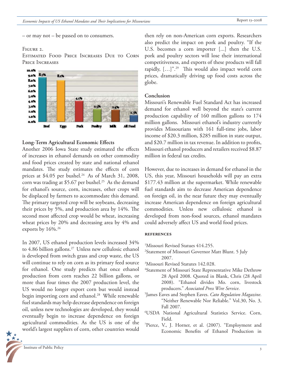– or may not – be passed on to consumers.

#### FIGURE 2.

Estimated Food Price Increases Due to Corn Price Increases



### Long-Term Agricultural Economic Effects

Another 2006 Iowa State study estimated the effects of increases in ethanol demands on other commodity and food prices created by state and national ethanol mandates. The study estimates the effects of corn prices at  $$4.05$  per bushel.<sup>24</sup> As of March 31, 2008, corn was trading at \$5.67 per bushel.<sup>25</sup> As the demand for ethanol's source, corn, increases, other crops will be displaced by farmers to accommodate this demand. The primary targeted crop will be soybeans, decreasing their prices by 5%, and production area by  $14\%$ . The second most affected crop would be wheat, increasing wheat prices by 20% and decreasing area by 4% and exports by 16%.<sup>26</sup>

In 2007, US ethanol production levels increased 34% to 4.86 billion gallons.<sup>27</sup> Unless new cellulosic ethanol is developed from switch grass and crop waste, the US will continue to rely on corn as its primary feed source for ethanol. One study predicts that once ethanol production from corn reaches 22 billion gallons, or more than four times the 2007 production level, the US would no longer export corn but would instead begin importing corn and ethanol.<sup>28</sup> While renewable fuel standards may help decrease dependence on foreign oil, unless new technologies are developed, they would eventually begin to increase dependence on foreign agricultural commodities. As the US is one of the world's largest suppliers of corn, other countries would

3 Institute of Public Policy

then rely on non-American corn exports. Researchers also predict the impact on pork and poultry. "If the U.S. becomes a corn importer [...] then the U.S. pork and poultry sectors will lose their international competitiveness, and exports of these products will fall rapidly,  $[\dots]^{n}$ .<sup>29</sup> This would also impact world corn prices, dramatically driving up food costs across the globe.

#### **Conclusion**

Missouri's Renewable Fuel Standard Act has increased demand for ethanol well beyond the state's current production capability of 160 million gallons to 174 million gallons. Missouri ethanol's industry currently provides Missourians with 161 full-time jobs, labor income of \$20.3 million, \$285 million in state output, and \$20.7 million in tax revenue. In addition to profits, Missouri ethanol producers and retailers received \$8.87 million in federal tax credits.

However, due to increases in demand for ethanol in the US, this year, Missouri households will pay an extra \$177.43 million at the supermarket. While renewable fuel standards aim to decrease American dependence on foreign oil, in the near future they may eventually increase American dependence on foreign agricultural commodities. Unless new cellulosic ethanol is developed from non-food sources, ethanol mandates could adversely affect US and world food prices.

#### **references**

- 1 Missouri Revised Statues 414.255.
- 2 Statement of Missouri Governor Matt Blunt. 5 July 2007.
- 3 Missouri Revised Statutes 142.028.
- 4 Statement of Missouri State Representative Mike Dethrow 28 April 2008. Quoted in Blank, Chris (28 April 2008). "Ethanol divides Mo. corn, livestock producers." *Associated Press Wire Service*.
- 5 James Eaves and Stephen Eaves. *Cato Regulation Magazine*. "Neither Renewable Nor Reliable." Vol.30, No. 3, Fall 2007.
- 6 USDA National Agricultural Statistics Service. Corn,
- Field. 7 Pierce, V., J. Horner, et al. (2007). "Employment and Economic Benefits of Ethanol Production in